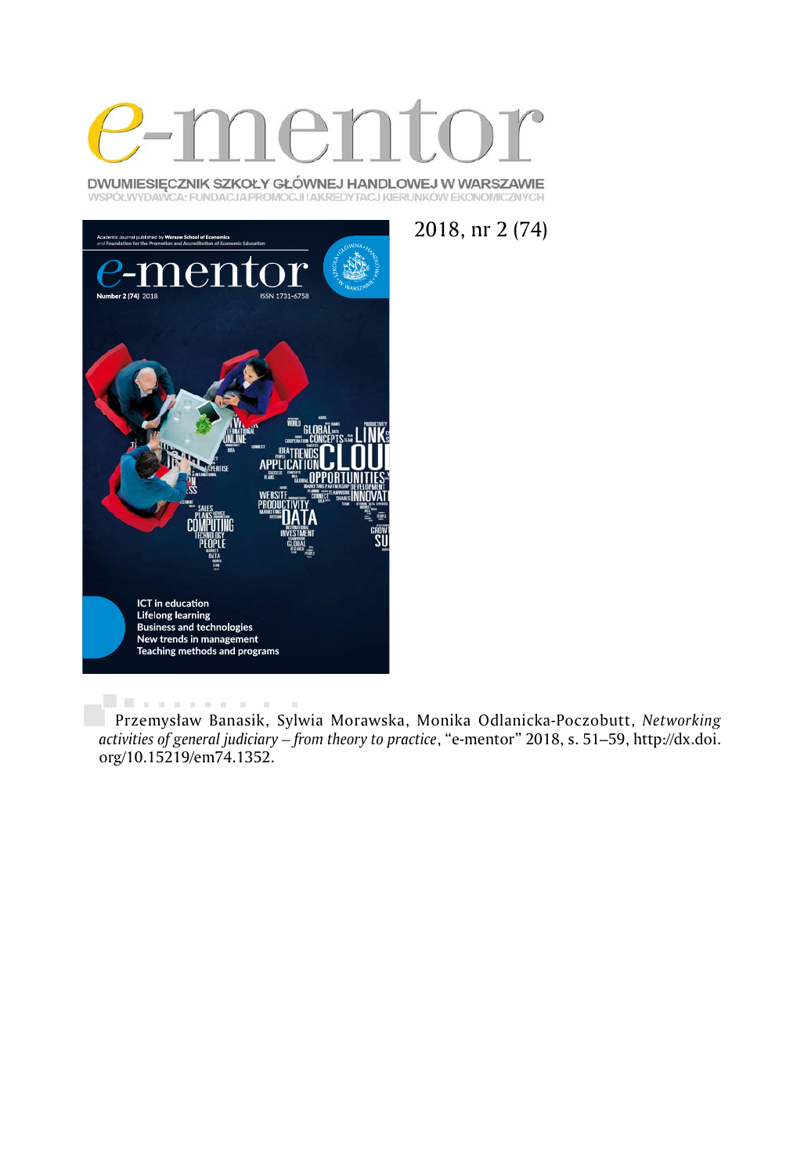

DWUMIESIĘCZNIK SZKOŁY GŁÓWNEJ HANDLOWEJ W WARSZAWIE WSPÓŁWYDAWCA: FUNDACJA PROMOCJI I AKREDYTACJ KIERUNKÓW EKONOMICZNYCH



 $\bar{\alpha}$ 

2018, nr 2 (74)

lla concerta del Przemysław Banasik, Sylwia Morawska, Monika Odlanicka-Poczobutt, *Networking activities of general judiciary – from theory to practice*, "e-mentor" 2018, s. 51–59, http://dx.doi. org/10.15219/em74.1352.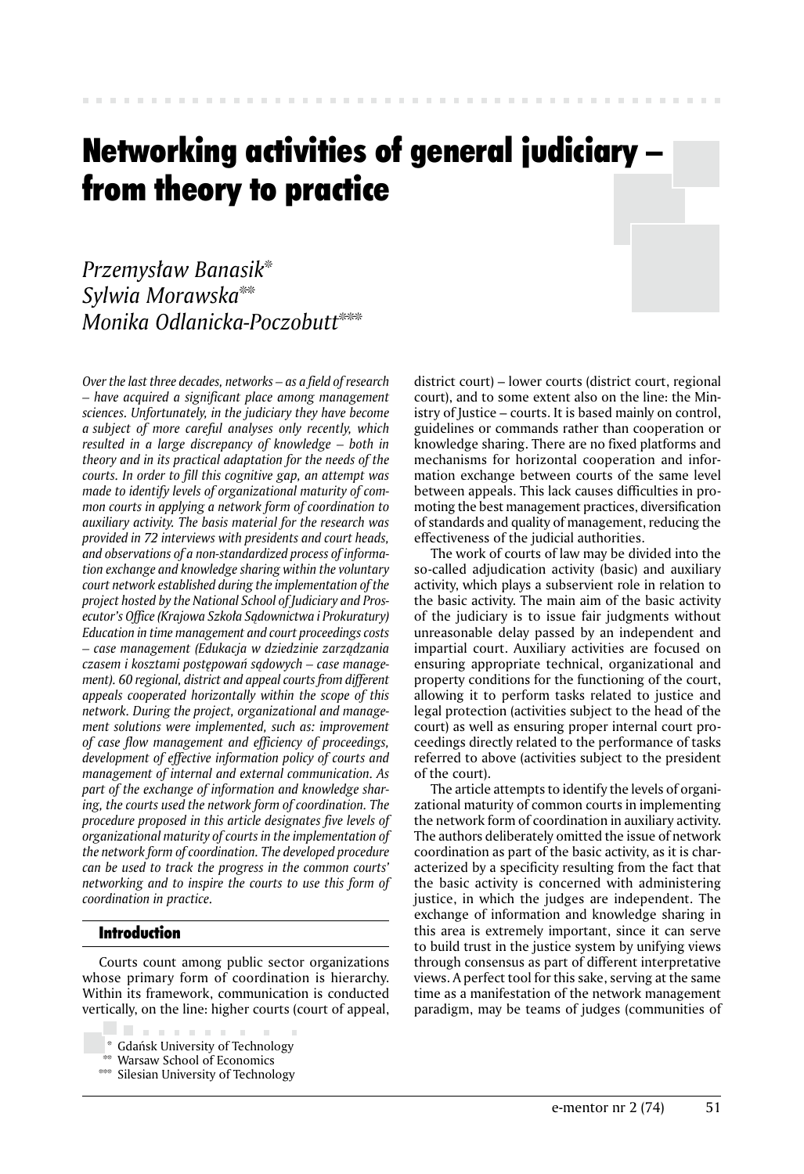# Networking activities of general judiciary – from theory to practice

*Przemysław Banasik*\* *Sylwia Morawska*\*\* *Monika Odlanicka-Poczobutt*\*\*\*

*Over the last three decades, networks – as a field of research – have acquired a significant place among management sciences. Unfortunately, in the judiciary they have become a subject of more careful analyses only recently, which resulted in a large discrepancy of knowledge – both in theory and in its practical adaptation for the needs of the courts. In order to fill this cognitive gap, an attempt was made to identify levels of organizational maturity of common courts in applying a network form of coordination to auxiliary activity. The basis material for the research was provided in 72 interviews with presidents and court heads, and observations of a non-standardized process of information exchange and knowledge sharing within the voluntary court network established during the implementation of the project hosted by the National School of Judiciary and Prosecutor's Office (Krajowa Szkoła Sądownictwa i Prokuratury) Education in time management and court proceedings costs – case management (Edukacja w dziedzinie zarządzania czasem i kosztami postępowań sądowych – case management). 60 regional, district and appeal courts from different appeals cooperated horizontally within the scope of this network. During the project, organizational and management solutions were implemented, such as: improvement of case flow management and efficiency of proceedings, development of effective information policy of courts and management of internal and external communication. As part of the exchange of information and knowledge sharing, the courts used the network form of coordination. The procedure proposed in this article designates five levels of organizational maturity of courts in the implementation of the network form of coordination. The developed procedure can be used to track the progress in the common courts' networking and to inspire the courts to use this form of coordination in practice.* 

### Introduction

Courts count among public sector organizations whose primary form of coordination is hierarchy. Within its framework, communication is conducted vertically, on the line: higher courts (court of appeal,

- \* Gdańsk University of Technology
- \*\* Warsaw School of Economics

 $\mathbb{R}^n \times \mathbb{R}^n$ 

\*\*\* Silesian University of Technology

district court) – lower courts (district court, regional court), and to some extent also on the line: the Ministry of Justice – courts. It is based mainly on control, guidelines or commands rather than cooperation or knowledge sharing. There are no fixed platforms and mechanisms for horizontal cooperation and information exchange between courts of the same level between appeals. This lack causes difficulties in promoting the best management practices, diversification of standards and quality of management, reducing the effectiveness of the judicial authorities.

The work of courts of law may be divided into the so-called adjudication activity (basic) and auxiliary activity, which plays a subservient role in relation to the basic activity. The main aim of the basic activity of the judiciary is to issue fair judgments without unreasonable delay passed by an independent and impartial court. Auxiliary activities are focused on ensuring appropriate technical, organizational and property conditions for the functioning of the court, allowing it to perform tasks related to justice and legal protection (activities subject to the head of the court) as well as ensuring proper internal court proceedings directly related to the performance of tasks referred to above (activities subject to the president of the court).

The article attempts to identify the levels of organizational maturity of common courts in implementing the network form of coordination in auxiliary activity. The authors deliberately omitted the issue of network coordination as part of the basic activity, as it is characterized by a specificity resulting from the fact that the basic activity is concerned with administering justice, in which the judges are independent. The exchange of information and knowledge sharing in this area is extremely important, since it can serve to build trust in the justice system by unifying views through consensus as part of different interpretative views. A perfect tool for this sake, serving at the same time as a manifestation of the network management paradigm, may be teams of judges (communities of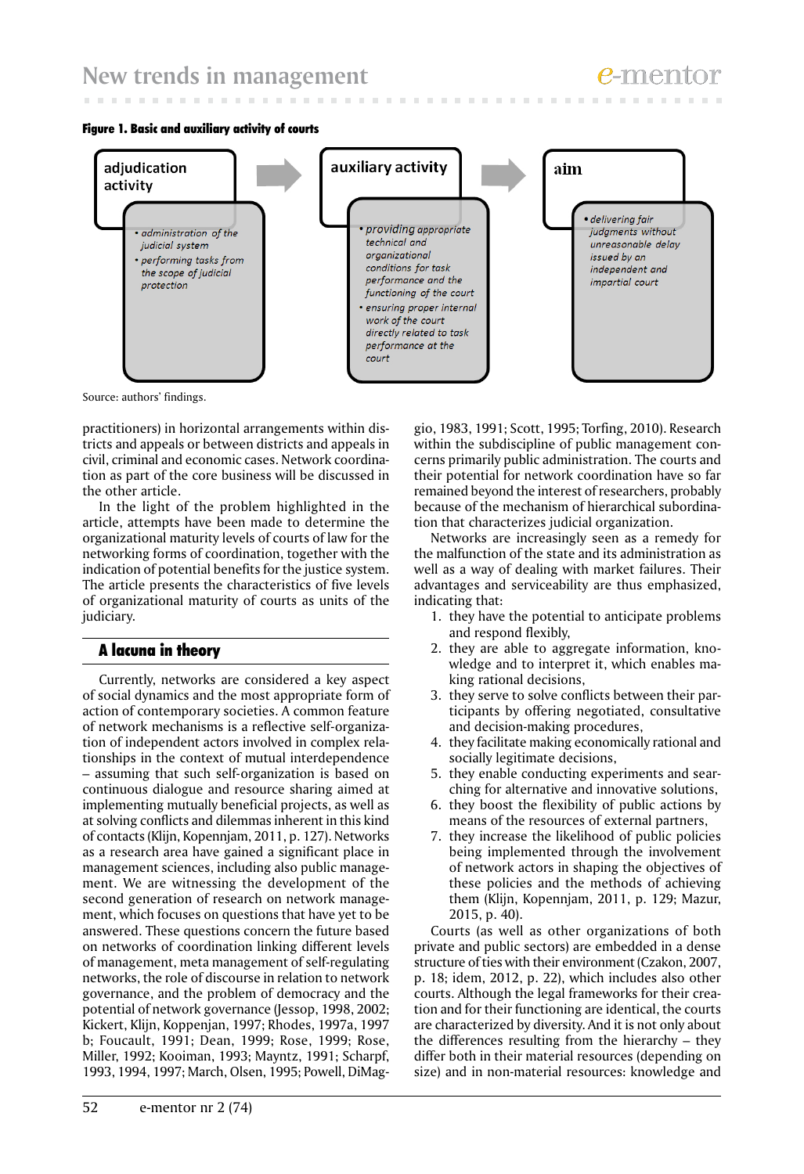Figure 1. Basic and auxiliary activity of courts



Source: authors' findings.

practitioners) in horizontal arrangements within districts and appeals or between districts and appeals in civil, criminal and economic cases. Network coordination as part of the core business will be discussed in the other article.

In the light of the problem highlighted in the article, attempts have been made to determine the organizational maturity levels of courts of law for the networking forms of coordination, together with the indication of potential benefits for the justice system. The article presents the characteristics of five levels of organizational maturity of courts as units of the judiciary.

# A lacuna in theory

Currently, networks are considered a key aspect of social dynamics and the most appropriate form of action of contemporary societies. A common feature of network mechanisms is a reflective self-organization of independent actors involved in complex relationships in the context of mutual interdependence – assuming that such self-organization is based on continuous dialogue and resource sharing aimed at implementing mutually beneficial projects, as well as at solving conflicts and dilemmas inherent in this kind of contacts (Klijn, Kopennjam, 2011, p. 127). Networks as a research area have gained a significant place in management sciences, including also public management. We are witnessing the development of the second generation of research on network management, which focuses on questions that have yet to be answered. These questions concern the future based on networks of coordination linking different levels of management, meta management of self-regulating networks, the role of discourse in relation to network governance, and the problem of democracy and the potential of network governance (Jessop, 1998, 2002; Kickert, Klijn, Koppenjan, 1997; Rhodes, 1997a, 1997 b; Foucault, 1991; Dean, 1999; Rose, 1999; Rose, Miller, 1992; Kooiman, 1993; Mayntz, 1991; Scharpf, 1993, 1994, 1997; March, Olsen, 1995; Powell, DiMag-

gio, 1983, 1991; Scott, 1995; Torfing, 2010). Research within the subdiscipline of public management concerns primarily public administration. The courts and their potential for network coordination have so far remained beyond the interest of researchers, probably because of the mechanism of hierarchical subordination that characterizes judicial organization.

Networks are increasingly seen as a remedy for the malfunction of the state and its administration as well as a way of dealing with market failures. Their advantages and serviceability are thus emphasized, indicating that:

- 1. they have the potential to anticipate problems and respond flexibly,
- 2. they are able to aggregate information, knowledge and to interpret it, which enables making rational decisions,
- 3. they serve to solve conflicts between their participants by offering negotiated, consultative and decision-making procedures,
- 4. they facilitate making economically rational and socially legitimate decisions,
- 5. they enable conducting experiments and searching for alternative and innovative solutions,
- 6. they boost the flexibility of public actions by means of the resources of external partners,
- 7. they increase the likelihood of public policies being implemented through the involvement of network actors in shaping the objectives of these policies and the methods of achieving them (Klijn, Kopennjam, 2011, p. 129; Mazur, 2015, p. 40).

Courts (as well as other organizations of both private and public sectors) are embedded in a dense structure of ties with their environment (Czakon, 2007, p. 18; idem, 2012, p. 22), which includes also other courts. Although the legal frameworks for their creation and for their functioning are identical, the courts are characterized by diversity. And it is not only about the differences resulting from the hierarchy – they differ both in their material resources (depending on size) and in non-material resources: knowledge and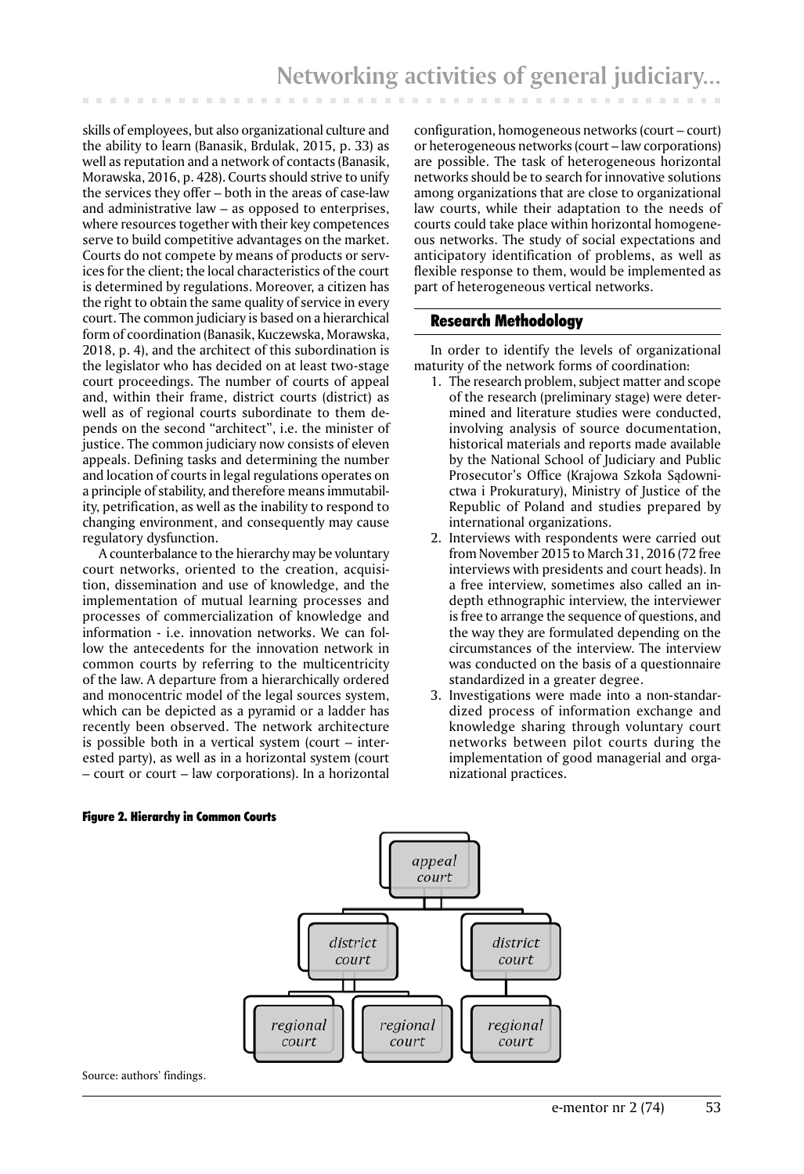skills of employees, but also organizational culture and the ability to learn (Banasik, Brdulak, 2015, p. 33) as well as reputation and a network of contacts (Banasik, Morawska, 2016, p. 428). Courts should strive to unify the services they offer – both in the areas of case-law and administrative law – as opposed to enterprises, where resources together with their key competences serve to build competitive advantages on the market. Courts do not compete by means of products or services for the client; the local characteristics of the court is determined by regulations. Moreover, a citizen has the right to obtain the same quality of service in every court. The common judiciary is based on a hierarchical form of coordination (Banasik, Kuczewska, Morawska, 2018, p. 4), and the architect of this subordination is the legislator who has decided on at least two-stage court proceedings. The number of courts of appeal and, within their frame, district courts (district) as well as of regional courts subordinate to them depends on the second "architect", i.e. the minister of justice. The common judiciary now consists of eleven appeals. Defining tasks and determining the number and location of courts in legal regulations operates on a principle of stability, and therefore means immutability, petrification, as well as the inability to respond to changing environment, and consequently may cause regulatory dysfunction.

A counterbalance to the hierarchy may be voluntary court networks, oriented to the creation, acquisition, dissemination and use of knowledge, and the implementation of mutual learning processes and processes of commercialization of knowledge and information - i.e. innovation networks. We can follow the antecedents for the innovation network in common courts by referring to the multicentricity of the law. A departure from a hierarchically ordered and monocentric model of the legal sources system, which can be depicted as a pyramid or a ladder has recently been observed. The network architecture is possible both in a vertical system (court – interested party), as well as in a horizontal system (court – court or court – law corporations). In a horizontal

configuration, homogeneous networks (court – court) or heterogeneous networks (court – law corporations) are possible. The task of heterogeneous horizontal networks should be to search for innovative solutions among organizations that are close to organizational law courts, while their adaptation to the needs of courts could take place within horizontal homogeneous networks. The study of social expectations and anticipatory identification of problems, as well as flexible response to them, would be implemented as part of heterogeneous vertical networks.

#### Research Methodology

In order to identify the levels of organizational maturity of the network forms of coordination:

- 1. The research problem, subject matter and scope of the research (preliminary stage) were determined and literature studies were conducted, involving analysis of source documentation, historical materials and reports made available by the National School of Judiciary and Public Prosecutor's Office (Krajowa Szkoła Sądownictwa i Prokuratury), Ministry of Justice of the Republic of Poland and studies prepared by international organizations.
- 2. Interviews with respondents were carried out from November 2015 to March 31, 2016 (72 free interviews with presidents and court heads). In a free interview, sometimes also called an indepth ethnographic interview, the interviewer is free to arrange the sequence of questions, and the way they are formulated depending on the circumstances of the interview. The interview was conducted on the basis of a questionnaire standardized in a greater degree.
- 3. Investigations were made into a non-standardized process of information exchange and knowledge sharing through voluntary court networks between pilot courts during the implementation of good managerial and organizational practices.

#### Figure 2. Hierarchy in Common Courts



Source: authors' findings.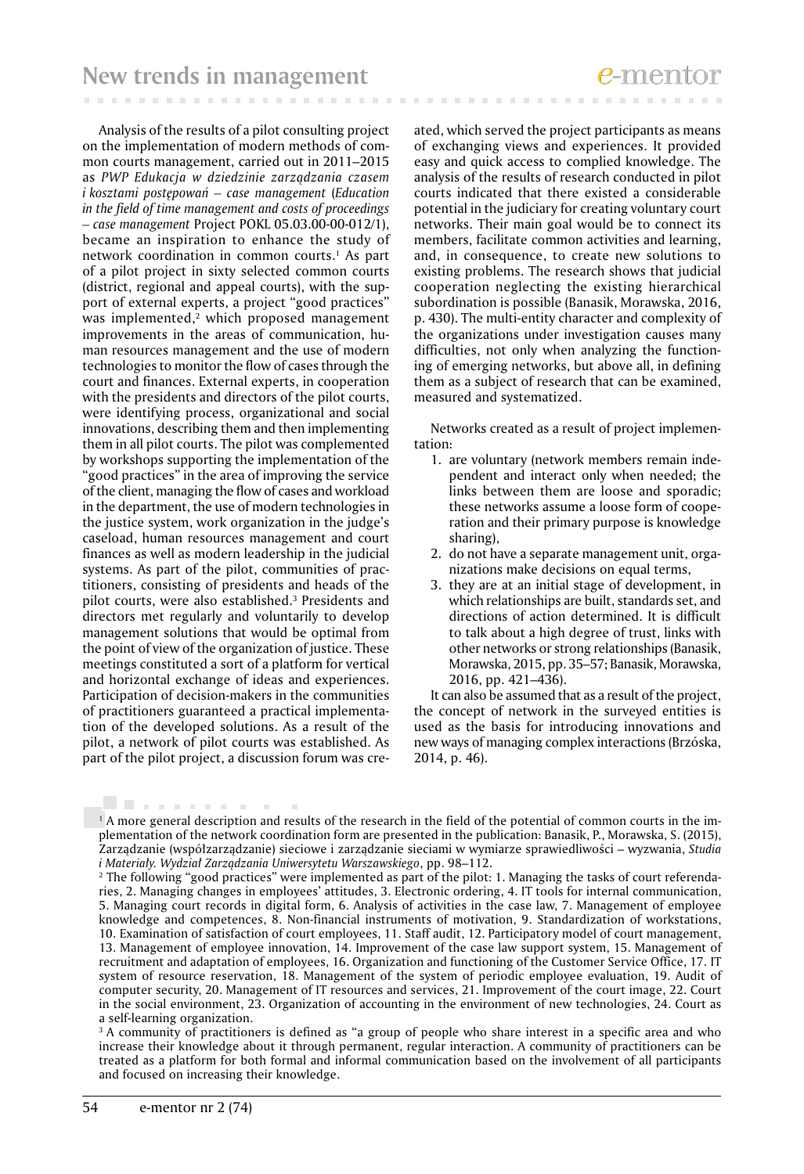Analysis of the results of a pilot consulting project on the implementation of modern methods of common courts management, carried out in 2011–2015 as *PWP Edukacja w dziedzinie zarządzania czasem i kosztami postępowań – case management* (*Education in the field of time management and costs of proceedings – case management* Project POKL 05.03.00-00-012/1), became an inspiration to enhance the study of network coordination in common courts.1 As part of a pilot project in sixty selected common courts (district, regional and appeal courts), with the support of external experts, a project "good practices" was implemented,<sup>2</sup> which proposed management improvements in the areas of communication, human resources management and the use of modern technologies to monitor the flow of cases through the court and finances. External experts, in cooperation with the presidents and directors of the pilot courts, were identifying process, organizational and social innovations, describing them and then implementing them in all pilot courts. The pilot was complemented by workshops supporting the implementation of the "good practices" in the area of improving the service of the client, managing the flow of cases and workload in the department, the use of modern technologies in the justice system, work organization in the judge's caseload, human resources management and court finances as well as modern leadership in the judicial systems. As part of the pilot, communities of practitioners, consisting of presidents and heads of the pilot courts, were also established.3 Presidents and directors met regularly and voluntarily to develop management solutions that would be optimal from the point of view of the organization of justice. These meetings constituted a sort of a platform for vertical and horizontal exchange of ideas and experiences. Participation of decision-makers in the communities of practitioners guaranteed a practical implementation of the developed solutions. As a result of the pilot, a network of pilot courts was established. As part of the pilot project, a discussion forum was cre-

ated, which served the project participants as means of exchanging views and experiences. It provided easy and quick access to complied knowledge. The analysis of the results of research conducted in pilot courts indicated that there existed a considerable potential in the judiciary for creating voluntary court networks. Their main goal would be to connect its members, facilitate common activities and learning, and, in consequence, to create new solutions to existing problems. The research shows that judicial cooperation neglecting the existing hierarchical subordination is possible (Banasik, Morawska, 2016, p. 430). The multi-entity character and complexity of the organizations under investigation causes many difficulties, not only when analyzing the functioning of emerging networks, but above all, in defining them as a subject of research that can be examined, measured and systematized.

 $\sim$ 

Networks created as a result of project implementation:

- 1. are voluntary (network members remain independent and interact only when needed; the links between them are loose and sporadic; these networks assume a loose form of cooperation and their primary purpose is knowledge sharing),
- 2. do not have a separate management unit, organizations make decisions on equal terms,
- 3. they are at an initial stage of development, in which relationships are built, standards set, and directions of action determined. It is difficult to talk about a high degree of trust, links with other networks or strong relationships (Banasik, Morawska, 2015, pp. 35–57; Banasik, Morawska, 2016, pp. 421–436).

It can also be assumed that as a result of the project, the concept of network in the surveyed entities is used as the basis for introducing innovations and new ways of managing complex interactions (Brzóska, 2014, p. 46).

. . . . . . . . . . .

<sup>&</sup>lt;sup>1</sup> A more general description and results of the research in the field of the potential of common courts in the implementation of the network coordination form are presented in the publication: Banasik, P., Morawska, S. (2015), Zarządzanie (współzarządzanie) sieciowe i zarządzanie sieciami w wymiarze sprawiedliwości – wyzwania, *Studia i Materiały. Wydział Zarządzania Uniwersytetu Warszawskiego*, pp. 98–112.

 $2$  The following "good practices" were implemented as part of the pilot: 1. Managing the tasks of court referendaries, 2. Managing changes in employees' attitudes, 3. Electronic ordering, 4. IT tools for internal communication, 5. Managing court records in digital form, 6. Analysis of activities in the case law, 7. Management of employee knowledge and competences, 8. Non-financial instruments of motivation, 9. Standardization of workstations, 10. Examination of satisfaction of court employees, 11. Staff audit, 12. Participatory model of court management, 13. Management of employee innovation, 14. Improvement of the case law support system, 15. Management of recruitment and adaptation of employees, 16. Organization and functioning of the Customer Service Office, 17. IT system of resource reservation, 18. Management of the system of periodic employee evaluation, 19. Audit of computer security, 20. Management of IT resources and services, 21. Improvement of the court image, 22. Court in the social environment, 23. Organization of accounting in the environment of new technologies, 24. Court as a self-learning organization.

<sup>&</sup>lt;sup>3</sup> A community of practitioners is defined as "a group of people who share interest in a specific area and who increase their knowledge about it through permanent, regular interaction. A community of practitioners can be treated as a platform for both formal and informal communication based on the involvement of all participants and focused on increasing their knowledge.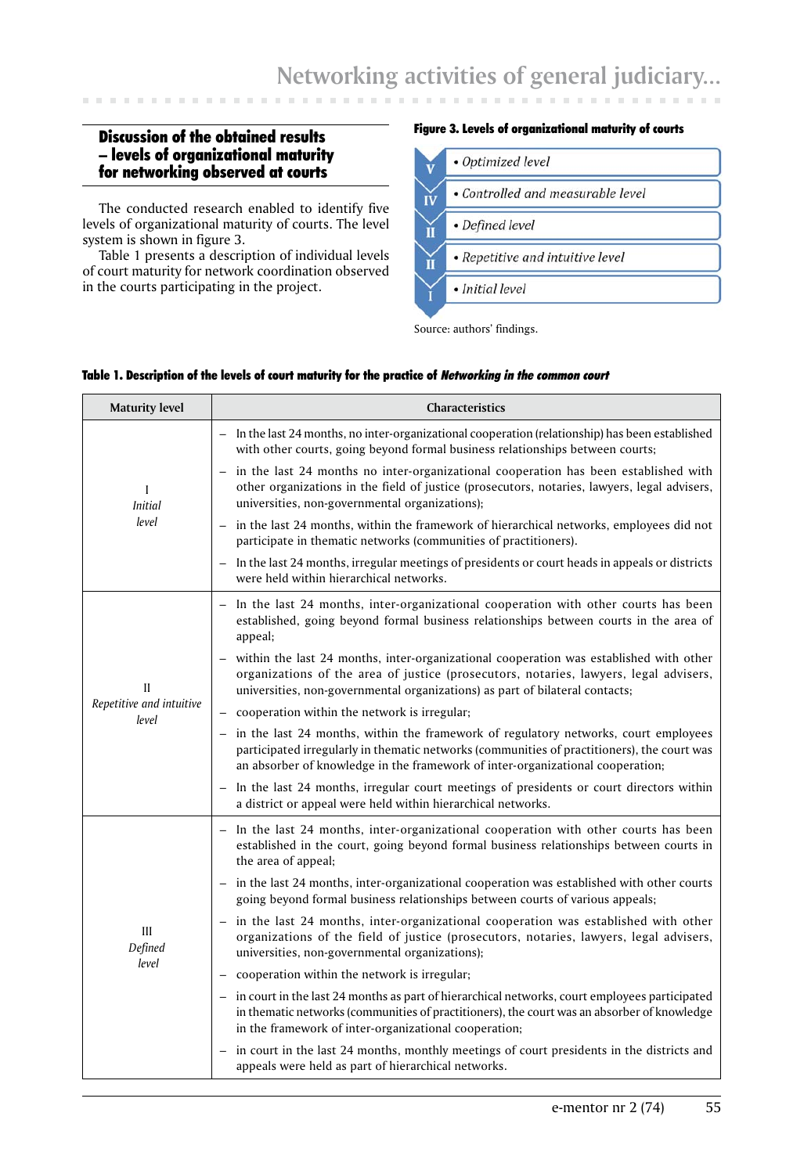# Discussion of the obtained results – levels of organizational maturity for networking observed at courts

The conducted research enabled to identify five levels of organizational maturity of courts. The level system is shown in figure 3.

Table 1 presents a description of individual levels of court maturity for network coordination observed in the courts participating in the project.

#### Figure 3. Levels of organizational maturity of courts



Source: authors' findings.

#### Table 1. Description of the levels of court maturity for the practice of Networking in the common court

| <b>Maturity level</b>                  | <b>Characteristics</b>                                                                                                                                                                                                                                                 |
|----------------------------------------|------------------------------------------------------------------------------------------------------------------------------------------------------------------------------------------------------------------------------------------------------------------------|
| I<br><b>Initial</b><br>level           | - In the last 24 months, no inter-organizational cooperation (relationship) has been established<br>with other courts, going beyond formal business relationships between courts;                                                                                      |
|                                        | - in the last 24 months no inter-organizational cooperation has been established with<br>other organizations in the field of justice (prosecutors, notaries, lawyers, legal advisers,<br>universities, non-governmental organizations);                                |
|                                        | - in the last 24 months, within the framework of hierarchical networks, employees did not<br>participate in thematic networks (communities of practitioners).                                                                                                          |
|                                        | - In the last 24 months, irregular meetings of presidents or court heads in appeals or districts<br>were held within hierarchical networks.                                                                                                                            |
| Н<br>Repetitive and intuitive<br>level | - In the last 24 months, inter-organizational cooperation with other courts has been<br>established, going beyond formal business relationships between courts in the area of<br>appeal;                                                                               |
|                                        | - within the last 24 months, inter-organizational cooperation was established with other<br>organizations of the area of justice (prosecutors, notaries, lawyers, legal advisers,<br>universities, non-governmental organizations) as part of bilateral contacts;      |
|                                        | cooperation within the network is irregular;<br>$\qquad \qquad -$                                                                                                                                                                                                      |
|                                        | - in the last 24 months, within the framework of regulatory networks, court employees<br>participated irregularly in thematic networks (communities of practitioners), the court was<br>an absorber of knowledge in the framework of inter-organizational cooperation; |
|                                        | - In the last 24 months, irregular court meetings of presidents or court directors within<br>a district or appeal were held within hierarchical networks.                                                                                                              |
| III<br>Defined<br>level                | - In the last 24 months, inter-organizational cooperation with other courts has been<br>established in the court, going beyond formal business relationships between courts in<br>the area of appeal;                                                                  |
|                                        | - in the last 24 months, inter-organizational cooperation was established with other courts<br>going beyond formal business relationships between courts of various appeals;                                                                                           |
|                                        | - in the last 24 months, inter-organizational cooperation was established with other<br>organizations of the field of justice (prosecutors, notaries, lawyers, legal advisers,<br>universities, non-governmental organizations);                                       |
|                                        | - cooperation within the network is irregular;                                                                                                                                                                                                                         |
|                                        | - in court in the last 24 months as part of hierarchical networks, court employees participated<br>in thematic networks (communities of practitioners), the court was an absorber of knowledge<br>in the framework of inter-organizational cooperation;                |
|                                        | - in court in the last 24 months, monthly meetings of court presidents in the districts and<br>appeals were held as part of hierarchical networks.                                                                                                                     |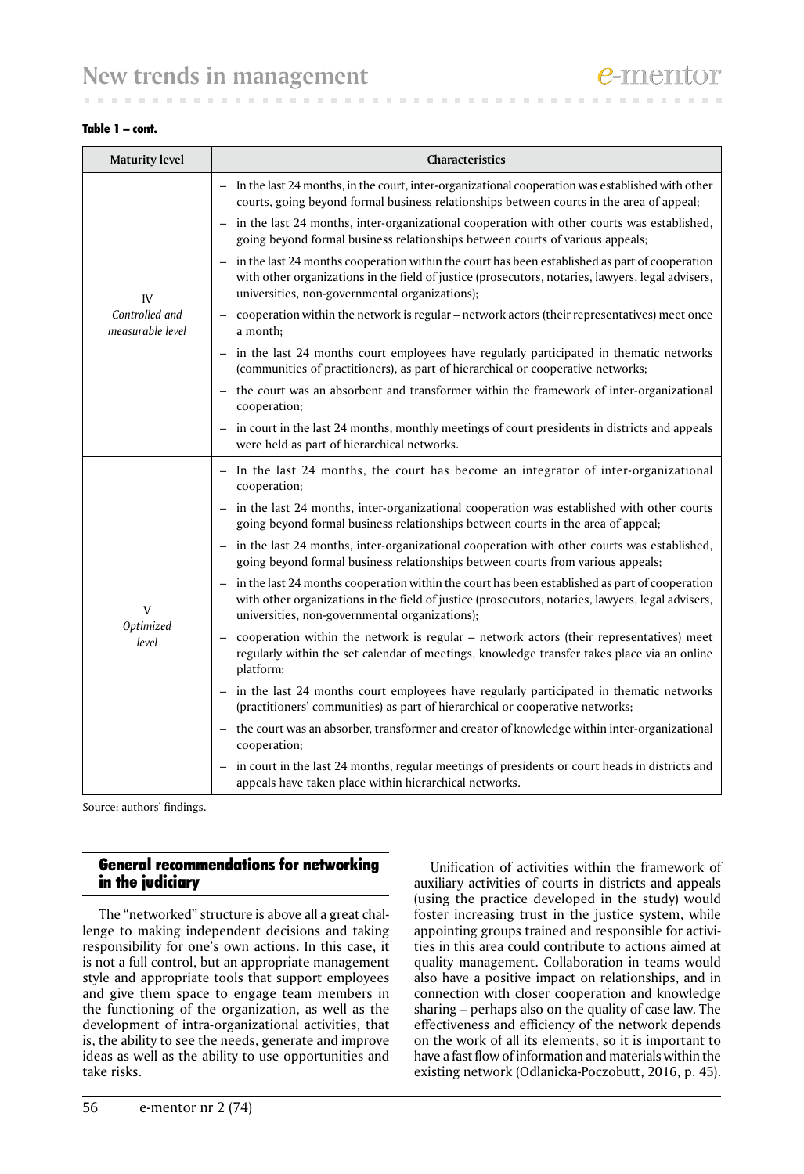**Contractor** 

#### Table 1 – cont.

| <b>Maturity level</b>                    | <b>Characteristics</b>                                                                                                                                                                                                                                    |
|------------------------------------------|-----------------------------------------------------------------------------------------------------------------------------------------------------------------------------------------------------------------------------------------------------------|
| IV<br>Controlled and<br>measurable level | - In the last 24 months, in the court, inter-organizational cooperation was established with other<br>courts, going beyond formal business relationships between courts in the area of appeal;                                                            |
|                                          | - in the last 24 months, inter-organizational cooperation with other courts was established,<br>going beyond formal business relationships between courts of various appeals;                                                                             |
|                                          | $-$ in the last 24 months cooperation within the court has been established as part of cooperation<br>with other organizations in the field of justice (prosecutors, notaries, lawyers, legal advisers,<br>universities, non-governmental organizations); |
|                                          | - cooperation within the network is regular - network actors (their representatives) meet once<br>a month:                                                                                                                                                |
|                                          | - in the last 24 months court employees have regularly participated in thematic networks<br>(communities of practitioners), as part of hierarchical or cooperative networks;                                                                              |
|                                          | - the court was an absorbent and transformer within the framework of inter-organizational<br>cooperation;                                                                                                                                                 |
|                                          | - in court in the last 24 months, monthly meetings of court presidents in districts and appeals<br>were held as part of hierarchical networks.                                                                                                            |
| V<br>Optimized<br>level                  | - In the last 24 months, the court has become an integrator of inter-organizational<br>cooperation;                                                                                                                                                       |
|                                          | - in the last 24 months, inter-organizational cooperation was established with other courts<br>going beyond formal business relationships between courts in the area of appeal;                                                                           |
|                                          | - in the last 24 months, inter-organizational cooperation with other courts was established,<br>going beyond formal business relationships between courts from various appeals;                                                                           |
|                                          | $-$ in the last 24 months cooperation within the court has been established as part of cooperation<br>with other organizations in the field of justice (prosecutors, notaries, lawyers, legal advisers,<br>universities, non-governmental organizations); |
|                                          | - cooperation within the network is regular - network actors (their representatives) meet<br>regularly within the set calendar of meetings, knowledge transfer takes place via an online<br>platform;                                                     |
|                                          | - in the last 24 months court employees have regularly participated in thematic networks<br>(practitioners' communities) as part of hierarchical or cooperative networks;                                                                                 |
|                                          | - the court was an absorber, transformer and creator of knowledge within inter-organizational<br>cooperation;                                                                                                                                             |
|                                          | in court in the last 24 months, regular meetings of presidents or court heads in districts and<br>$\qquad \qquad -$<br>appeals have taken place within hierarchical networks.                                                                             |

. . . . . . . . . . . . . . .

Source: authors' findings.

## General recommendations for networking in the judiciary

The "networked" structure is above all a great challenge to making independent decisions and taking responsibility for one's own actions. In this case, it is not a full control, but an appropriate management style and appropriate tools that support employees and give them space to engage team members in the functioning of the organization, as well as the development of intra-organizational activities, that is, the ability to see the needs, generate and improve ideas as well as the ability to use opportunities and take risks.

Unification of activities within the framework of auxiliary activities of courts in districts and appeals (using the practice developed in the study) would foster increasing trust in the justice system, while appointing groups trained and responsible for activities in this area could contribute to actions aimed at quality management. Collaboration in teams would also have a positive impact on relationships, and in connection with closer cooperation and knowledge sharing – perhaps also on the quality of case law. The effectiveness and efficiency of the network depends on the work of all its elements, so it is important to have a fast flow of information and materials within the existing network (Odlanicka-Poczobutt, 2016, p. 45).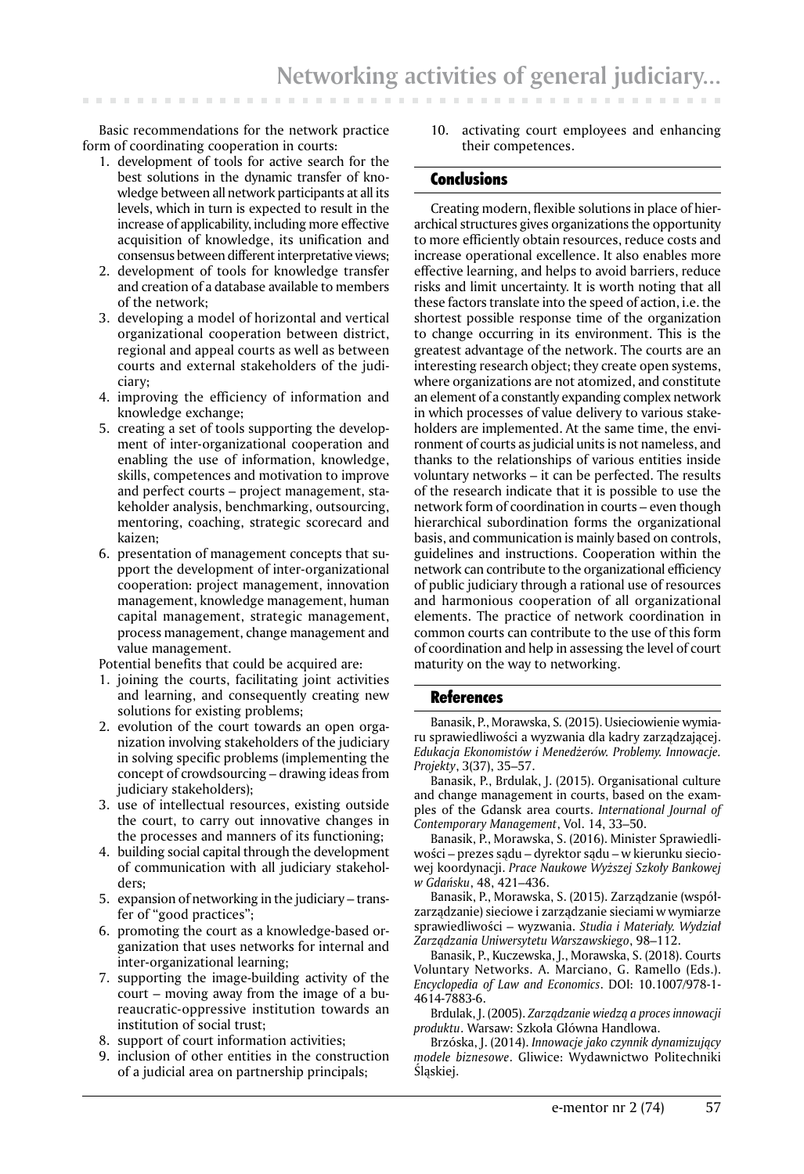Basic recommendations for the network practice form of coordinating cooperation in courts:

. . . . . . . .

- 1. development of tools for active search for the best solutions in the dynamic transfer of knowledge between all network participants at all its levels, which in turn is expected to result in the increase of applicability, including more effective acquisition of knowledge, its unification and consensus between different interpretative views;
- 2. development of tools for knowledge transfer and creation of a database available to members of the network;
- 3. developing a model of horizontal and vertical organizational cooperation between district, regional and appeal courts as well as between courts and external stakeholders of the judiciary;
- 4. improving the efficiency of information and knowledge exchange;
- 5. creating a set of tools supporting the development of inter-organizational cooperation and enabling the use of information, knowledge, skills, competences and motivation to improve and perfect courts – project management, stakeholder analysis, benchmarking, outsourcing, mentoring, coaching, strategic scorecard and kaizen;
- 6. presentation of management concepts that support the development of inter-organizational cooperation: project management, innovation management, knowledge management, human capital management, strategic management, process management, change management and value management.

Potential benefits that could be acquired are:

- 1. joining the courts, facilitating joint activities and learning, and consequently creating new solutions for existing problems;
- 2. evolution of the court towards an open organization involving stakeholders of the judiciary in solving specific problems (implementing the concept of crowdsourcing – drawing ideas from judiciary stakeholders);
- 3. use of intellectual resources, existing outside the court, to carry out innovative changes in the processes and manners of its functioning;
- 4. building social capital through the development of communication with all judiciary stakeholders;
- 5. expansion of networking in the judiciary transfer of "good practices";
- 6. promoting the court as a knowledge-based organization that uses networks for internal and inter-organizational learning;
- 7. supporting the image-building activity of the court – moving away from the image of a bureaucratic-oppressive institution towards an institution of social trust;
- 8. support of court information activities;
- 9. inclusion of other entities in the construction of a judicial area on partnership principals;

10. activating court employees and enhancing their competences.

#### Conclusions

Creating modern, flexible solutions in place of hierarchical structures gives organizations the opportunity to more efficiently obtain resources, reduce costs and increase operational excellence. It also enables more effective learning, and helps to avoid barriers, reduce risks and limit uncertainty. It is worth noting that all these factors translate into the speed of action, i.e. the shortest possible response time of the organization to change occurring in its environment. This is the greatest advantage of the network. The courts are an interesting research object; they create open systems, where organizations are not atomized, and constitute an element of a constantly expanding complex network in which processes of value delivery to various stakeholders are implemented. At the same time, the environment of courts as judicial units is not nameless, and thanks to the relationships of various entities inside voluntary networks – it can be perfected. The results of the research indicate that it is possible to use the network form of coordination in courts – even though hierarchical subordination forms the organizational basis, and communication is mainly based on controls, guidelines and instructions. Cooperation within the network can contribute to the organizational efficiency of public judiciary through a rational use of resources and harmonious cooperation of all organizational elements. The practice of network coordination in common courts can contribute to the use of this form of coordination and help in assessing the level of court maturity on the way to networking.

#### References

Banasik, P., Morawska, S*.* (2015). Usieciowienie wymiaru sprawiedliwości a wyzwania dla kadry zarządzającej. *Edukacja Ekonomistów i Menedżerów. Problemy. Innowacje. Projekty*, 3(37), 35–57.

Banasik, P., Brdulak, J. (2015). Organisational culture and change management in courts, based on the examples of the Gdansk area courts. *International Journal of Contemporary Management*, Vol. 14, 33–50.

Banasik, P., Morawska, S. (2016). Minister Sprawiedliwości – prezes sądu – dyrektor sądu – w kierunku sieciowej koordynacji. *Prace Naukowe Wyższej Szkoły Bankowej w Gdańsku*, 48, 421–436.

Banasik, P., Morawska, S. (2015). Zarządzanie (współzarządzanie) sieciowe i zarządzanie sieciami w wymiarze sprawiedliwości – wyzwania. *Studia i Materiały. Wydział Zarządzania Uniwersytetu Warszawskiego*, 98–112.

Banasik, P., Kuczewska, J., Morawska, S. (2018). Courts Voluntary Networks. A. Marciano, G. Ramello (Eds.). *Encyclopedia of Law and Economics*. DOI: 10.1007/978-1- 4614-7883-6.

Brdulak, J. (2005). *Zarządzanie wiedzą a proces innowacji produktu*. Warsaw: Szkoła Główna Handlowa.

Brzóska, J. (2014). *Innowacje jako czynnik dynamizujący modele biznesowe*. Gliwice: Wydawnictwo Politechniki Śląskiej.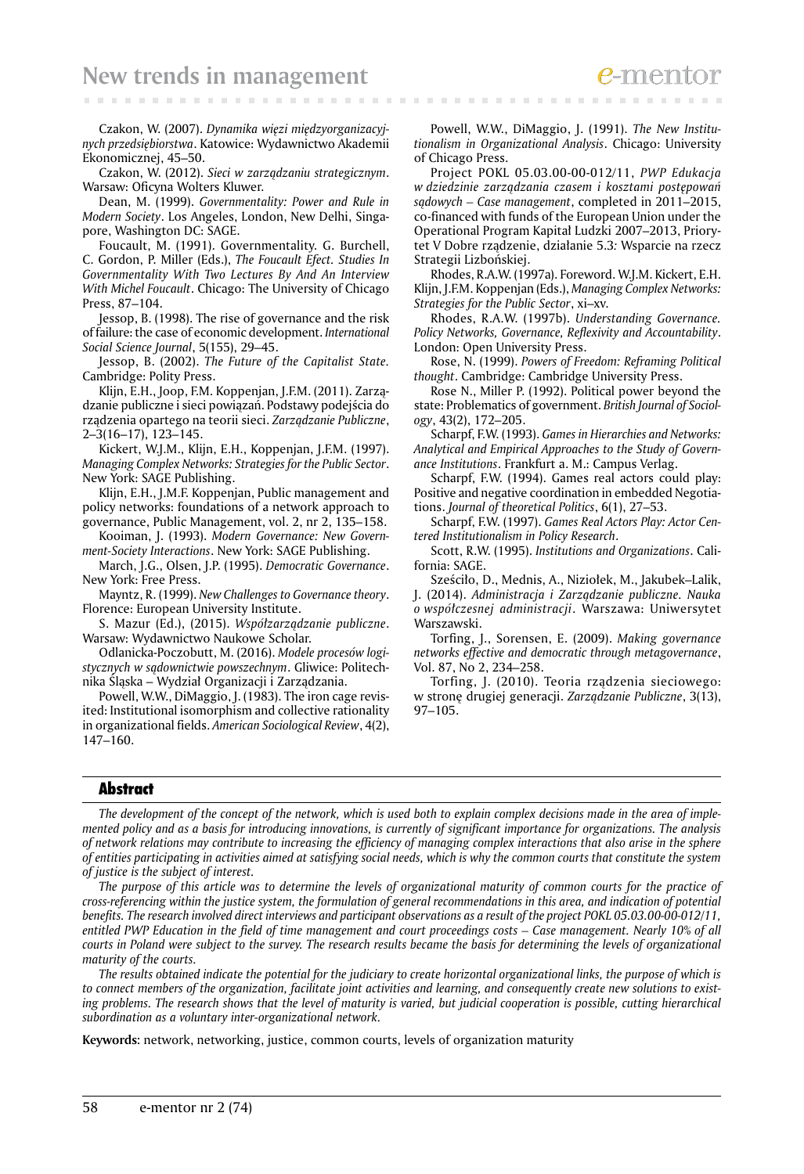Czakon, W. (2007). *Dynamika więzi międzyorganizacyjnych przedsiębiorstwa*. Katowice: Wydawnictwo Akademii Ekonomicznej, 45–50.

Czakon, W. (2012). *Sieci w zarządzaniu strategicznym*. Warsaw: Oficyna Wolters Kluwer.

Dean, M. (1999). *Governmentality: Power and Rule in Modern Society*. Los Angeles, London, New Delhi, Singapore, Washington DC: SAGE.

Foucault, M. (1991). Governmentality. G. Burchell, C. Gordon, P. Miller (Eds.), *The Foucault Efect. Studies In Governmentality With Two Lectures By And An Interview With Michel Foucault*. Chicago: The University of Chicago Press, 87–104.

Jessop, B. (1998). The rise of governance and the risk of failure: the case of economic development. *International Social Science Journal*, 5(155), 29–45.

Jessop, B. (2002). *The Future of the Capitalist State.*  Cambridge: Polity Press.

Klijn, E.H., Joop, F.M. Koppenjan, J.F.M. (2011). Zarządzanie publiczne i sieci powiązań. Podstawy podejścia do rządzenia opartego na teorii sieci. *Zarządzanie Publiczne*, 2–3(16–17), 123–145.

Kickert, W.J.M., Klijn, E.H., Koppenjan, J.F.M. (1997). *Managing Complex Networks: Strategies for the Public Sector*. New York: SAGE Publishing.

Klijn, E.H., J.M.F. Koppenjan, Public management and policy networks: foundations of a network approach to governance, Public Management, vol. 2, nr 2, 135–158.

Kooiman, J. (1993). *Modern Governance: New Government-Society Interactions*. New York: SAGE Publishing.

March, J.G., Olsen, J.P. (1995). *Democratic Governance*. New York: Free Press.

Mayntz, R. (1999). *New Challenges to Governance theory*. Florence: European University Institute.

S. Mazur (Ed.), (2015). *Współzarządzanie publiczne*. Warsaw: Wydawnictwo Naukowe Scholar.

Odlanicka-Poczobutt, M. (2016). *Modele procesów logistycznych w sądownictwie powszechnym*. Gliwice: Politechnika Śląska – Wydział Organizacji i Zarządzania.

Powell, W.W., DiMaggio, J. (1983). The iron cage revisited: Institutional isomorphism and collective rationality in organizational fields. *American Sociological Review*, 4(2), 147–160.

Powell, W.W., DiMaggio, J. (1991). *The New Institutionalism in Organizational Analysis*. Chicago: University of Chicago Press.

Project POKL 05.03.00-00-012/11, *PWP Edukacja w dziedzinie zarządzania czasem i kosztami postępowań sądowych – Case management*, completed in 2011–2015, co-financed with funds of the European Union under the Operational Program Kapitał Ludzki 2007–2013, Priorytet V Dobre rządzenie, działanie 5.3*:* Wsparcie na rzecz Strategii Lizbońskiej.

Rhodes, R.A.W. (1997a). Foreword. W.J.M. Kickert, E.H. Klijn, J.F.M. Koppenjan (Eds.), *Managing Complex Networks: Strategies for the Public Sector*, xi–xv.

Rhodes, R.A.W. (1997b). *Understanding Governance. Policy Networks, Governance, Reflexivity and Accountability*. London: Open University Press.

Rose, N. (1999). *Powers of Freedom: Reframing Political thought*. Cambridge: Cambridge University Press.

Rose N., Miller P. (1992). Political power beyond the state: Problematics of government. *British Journal of Sociology*, 43(2), 172–205.

Scharpf, F.W. (1993). *Games in Hierarchies and Networks: Analytical and Empirical Approaches to the Study of Governance Institutions*. Frankfurt a. M.: Campus Verlag.

Scharpf, F.W. (1994). Games real actors could play: Positive and negative coordination in embedded Negotiations. *Journal of theoretical Politics*, 6(1), 27–53.

Scharpf, F.W. (1997). *Games Real Actors Play: Actor Centered Institutionalism in Policy Research*.

Scott, R.W. (1995). *Institutions and Organizations*. California: SAGE.

Sześciło, D., Mednis, A., Niziołek, M., Jakubek–Lalik, J. (2014). *Administracja i Zarządzanie publiczne. Nauka* 

*o współczesnej administracji*. Warszawa: Uniwersytet Warszawski.

Torfing, J., Sorensen, E. (2009). *Making governance networks effective and democratic through metagovernance*, Vol. 87, No 2, 234–258.

Torfing, J. (2010). Teoria rządzenia sieciowego: w stronę drugiej generacji. *Zarządzanie Publiczne*, 3(13), 97–105.

#### Abstract

*The development of the concept of the network, which is used both to explain complex decisions made in the area of implemented policy and as a basis for introducing innovations, is currently of significant importance for organizations. The analysis of network relations may contribute to increasing the efficiency of managing complex interactions that also arise in the sphere of entities participating in activities aimed at satisfying social needs, which is why the common courts that constitute the system of justice is the subject of interest.*

The purpose of this article was to determine the levels of organizational maturity of common courts for the practice of *cross-referencing within the justice system, the formulation of general recommendations in this area, and indication of potential benefits. The research involved direct interviews and participant observations as a result of the project POKL 05.03.00-00-012/11, entitled PWP Education in the field of time management and court proceedings costs – Case management. Nearly 10% of all courts in Poland were subject to the survey. The research results became the basis for determining the levels of organizational maturity of the courts.*

*The results obtained indicate the potential for the judiciary to create horizontal organizational links, the purpose of which is to connect members of the organization, facilitate joint activities and learning, and consequently create new solutions to existing problems. The research shows that the level of maturity is varied, but judicial cooperation is possible, cutting hierarchical subordination as a voluntary inter-organizational network.*

**Keywords:** network, networking, justice, common courts, levels of organization maturity